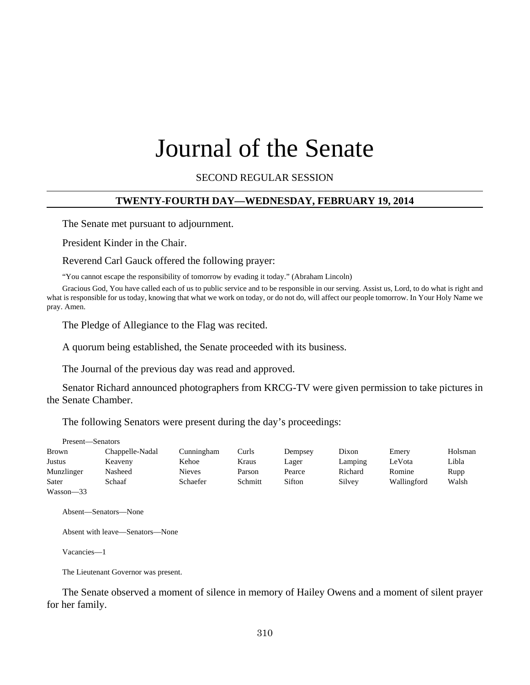# Journal of the Senate

SECOND REGULAR SESSION

## **TWENTY-FOURTH DAY—WEDNESDAY, FEBRUARY 19, 2014**

The Senate met pursuant to adjournment.

President Kinder in the Chair.

Reverend Carl Gauck offered the following prayer:

"You cannot escape the responsibility of tomorrow by evading it today." (Abraham Lincoln)

Gracious God, You have called each of us to public service and to be responsible in our serving. Assist us, Lord, to do what is right and what is responsible for us today, knowing that what we work on today, or do not do, will affect our people tomorrow. In Your Holy Name we pray. Amen.

The Pledge of Allegiance to the Flag was recited.

A quorum being established, the Senate proceeded with its business.

The Journal of the previous day was read and approved.

Senator Richard announced photographers from KRCG-TV were given permission to take pictures in the Senate Chamber.

The following Senators were present during the day's proceedings:

| Present—Senators |                 |               |         |         |         |             |         |
|------------------|-----------------|---------------|---------|---------|---------|-------------|---------|
| Brown            | Chappelle-Nadal | Cunningham    | Curls   | Dempsey | Dixon   | Emery       | Holsman |
| Justus           | Keaveny         | Kehoe         | Kraus   | Lager   | Lamping | LeVota      | Libla   |
| Munzlinger       | Nasheed         | <b>Nieves</b> | Parson  | Pearce  | Richard | Romine      | Rupp    |
| Sater            | Schaaf          | Schaefer      | Schmitt | Sifton  | Silvey  | Wallingford | Walsh   |
| $Wasson - 33$    |                 |               |         |         |         |             |         |

Absent—Senators—None

Absent with leave—Senators—None

Vacancies—1

The Lieutenant Governor was present.

The Senate observed a moment of silence in memory of Hailey Owens and a moment of silent prayer for her family.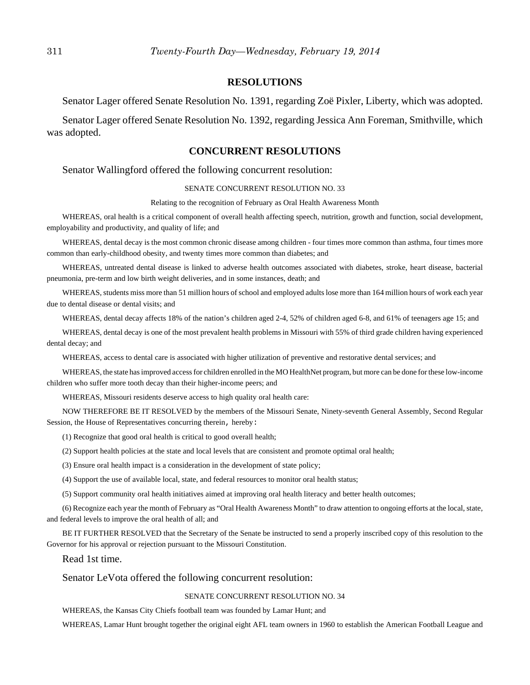#### **RESOLUTIONS**

Senator Lager offered Senate Resolution No. 1391, regarding Zoë Pixler, Liberty, which was adopted.

Senator Lager offered Senate Resolution No. 1392, regarding Jessica Ann Foreman, Smithville, which was adopted.

#### **CONCURRENT RESOLUTIONS**

Senator Wallingford offered the following concurrent resolution:

#### SENATE CONCURRENT RESOLUTION NO. 33

Relating to the recognition of February as Oral Health Awareness Month

WHEREAS, oral health is a critical component of overall health affecting speech, nutrition, growth and function, social development, employability and productivity, and quality of life; and

WHEREAS, dental decay is the most common chronic disease among children - four times more common than asthma, four times more common than early-childhood obesity, and twenty times more common than diabetes; and

WHEREAS, untreated dental disease is linked to adverse health outcomes associated with diabetes, stroke, heart disease, bacterial pneumonia, pre-term and low birth weight deliveries, and in some instances, death; and

WHEREAS, students miss more than 51 million hours of school and employed adults lose more than 164 million hours of work each year due to dental disease or dental visits; and

WHEREAS, dental decay affects 18% of the nation's children aged 2-4, 52% of children aged 6-8, and 61% of teenagers age 15; and

WHEREAS, dental decay is one of the most prevalent health problems in Missouri with 55% of third grade children having experienced dental decay; and

WHEREAS, access to dental care is associated with higher utilization of preventive and restorative dental services; and

WHEREAS, the state has improved access for children enrolled in the MO HealthNet program, but more can be done for these low-income children who suffer more tooth decay than their higher-income peers; and

WHEREAS, Missouri residents deserve access to high quality oral health care:

NOW THEREFORE BE IT RESOLVED by the members of the Missouri Senate, Ninety-seventh General Assembly, Second Regular Session, the House of Representatives concurring therein, hereby:

(1) Recognize that good oral health is critical to good overall health;

(2) Support health policies at the state and local levels that are consistent and promote optimal oral health;

(3) Ensure oral health impact is a consideration in the development of state policy;

(4) Support the use of available local, state, and federal resources to monitor oral health status;

(5) Support community oral health initiatives aimed at improving oral health literacy and better health outcomes;

(6) Recognize each year the month of February as "Oral Health Awareness Month" to draw attention to ongoing efforts at the local, state, and federal levels to improve the oral health of all; and

BE IT FURTHER RESOLVED that the Secretary of the Senate be instructed to send a properly inscribed copy of this resolution to the Governor for his approval or rejection pursuant to the Missouri Constitution.

Read 1st time.

Senator LeVota offered the following concurrent resolution:

#### SENATE CONCURRENT RESOLUTION NO. 34

WHEREAS, the Kansas City Chiefs football team was founded by Lamar Hunt; and

WHEREAS, Lamar Hunt brought together the original eight AFL team owners in 1960 to establish the American Football League and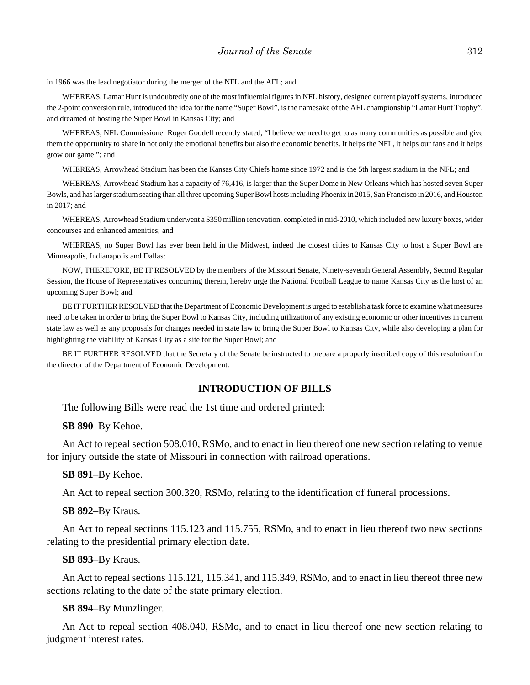in 1966 was the lead negotiator during the merger of the NFL and the AFL; and

WHEREAS, Lamar Hunt is undoubtedly one of the most influential figures in NFL history, designed current playoff systems, introduced the 2-point conversion rule, introduced the idea for the name "Super Bowl", is the namesake of the AFL championship "Lamar Hunt Trophy", and dreamed of hosting the Super Bowl in Kansas City; and

WHEREAS, NFL Commissioner Roger Goodell recently stated, "I believe we need to get to as many communities as possible and give them the opportunity to share in not only the emotional benefits but also the economic benefits. It helps the NFL, it helps our fans and it helps grow our game."; and

WHEREAS, Arrowhead Stadium has been the Kansas City Chiefs home since 1972 and is the 5th largest stadium in the NFL; and

WHEREAS, Arrowhead Stadium has a capacity of 76,416, is larger than the Super Dome in New Orleans which has hosted seven Super Bowls, and has larger stadium seating than all three upcoming Super Bowl hosts including Phoenix in 2015, San Francisco in 2016, and Houston in 2017; and

WHEREAS, Arrowhead Stadium underwent a \$350 million renovation, completed in mid-2010, which included new luxury boxes, wider concourses and enhanced amenities; and

WHEREAS, no Super Bowl has ever been held in the Midwest, indeed the closest cities to Kansas City to host a Super Bowl are Minneapolis, Indianapolis and Dallas:

NOW, THEREFORE, BE IT RESOLVED by the members of the Missouri Senate, Ninety-seventh General Assembly, Second Regular Session, the House of Representatives concurring therein, hereby urge the National Football League to name Kansas City as the host of an upcoming Super Bowl; and

BE IT FURTHER RESOLVED that the Department of Economic Development is urged to establish a task force to examine what measures need to be taken in order to bring the Super Bowl to Kansas City, including utilization of any existing economic or other incentives in current state law as well as any proposals for changes needed in state law to bring the Super Bowl to Kansas City, while also developing a plan for highlighting the viability of Kansas City as a site for the Super Bowl; and

BE IT FURTHER RESOLVED that the Secretary of the Senate be instructed to prepare a properly inscribed copy of this resolution for the director of the Department of Economic Development.

#### **INTRODUCTION OF BILLS**

The following Bills were read the 1st time and ordered printed:

#### **SB 890**–By Kehoe.

An Act to repeal section 508.010, RSMo, and to enact in lieu thereof one new section relating to venue for injury outside the state of Missouri in connection with railroad operations.

#### **SB 891**–By Kehoe.

An Act to repeal section 300.320, RSMo, relating to the identification of funeral processions.

#### **SB 892**–By Kraus.

An Act to repeal sections 115.123 and 115.755, RSMo, and to enact in lieu thereof two new sections relating to the presidential primary election date.

#### **SB 893**–By Kraus.

An Act to repeal sections 115.121, 115.341, and 115.349, RSMo, and to enact in lieu thereof three new sections relating to the date of the state primary election.

#### **SB 894**–By Munzlinger.

An Act to repeal section 408.040, RSMo, and to enact in lieu thereof one new section relating to judgment interest rates.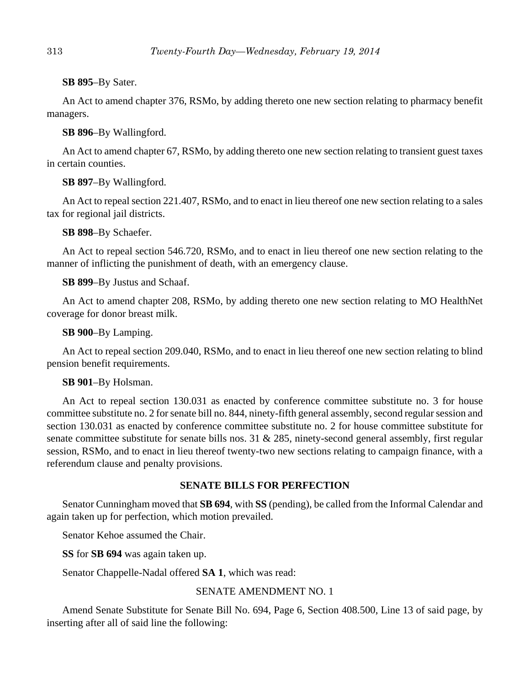# **SB 895**–By Sater.

An Act to amend chapter 376, RSMo, by adding thereto one new section relating to pharmacy benefit managers.

# **SB 896**–By Wallingford.

An Act to amend chapter 67, RSMo, by adding thereto one new section relating to transient guest taxes in certain counties.

**SB 897**–By Wallingford.

An Act to repeal section 221.407, RSMo, and to enact in lieu thereof one new section relating to a sales tax for regional jail districts.

**SB 898**–By Schaefer.

An Act to repeal section 546.720, RSMo, and to enact in lieu thereof one new section relating to the manner of inflicting the punishment of death, with an emergency clause.

**SB 899**–By Justus and Schaaf.

An Act to amend chapter 208, RSMo, by adding thereto one new section relating to MO HealthNet coverage for donor breast milk.

**SB 900**–By Lamping.

An Act to repeal section 209.040, RSMo, and to enact in lieu thereof one new section relating to blind pension benefit requirements.

# **SB 901**–By Holsman.

An Act to repeal section 130.031 as enacted by conference committee substitute no. 3 for house committee substitute no. 2 for senate bill no. 844, ninety-fifth general assembly, second regular session and section 130.031 as enacted by conference committee substitute no. 2 for house committee substitute for senate committee substitute for senate bills nos. 31 & 285, ninety-second general assembly, first regular session, RSMo, and to enact in lieu thereof twenty-two new sections relating to campaign finance, with a referendum clause and penalty provisions.

# **SENATE BILLS FOR PERFECTION**

Senator Cunningham moved that **SB 694**, with **SS** (pending), be called from the Informal Calendar and again taken up for perfection, which motion prevailed.

Senator Kehoe assumed the Chair.

**SS** for **SB 694** was again taken up.

Senator Chappelle-Nadal offered **SA 1**, which was read:

# SENATE AMENDMENT NO. 1

Amend Senate Substitute for Senate Bill No. 694, Page 6, Section 408.500, Line 13 of said page, by inserting after all of said line the following: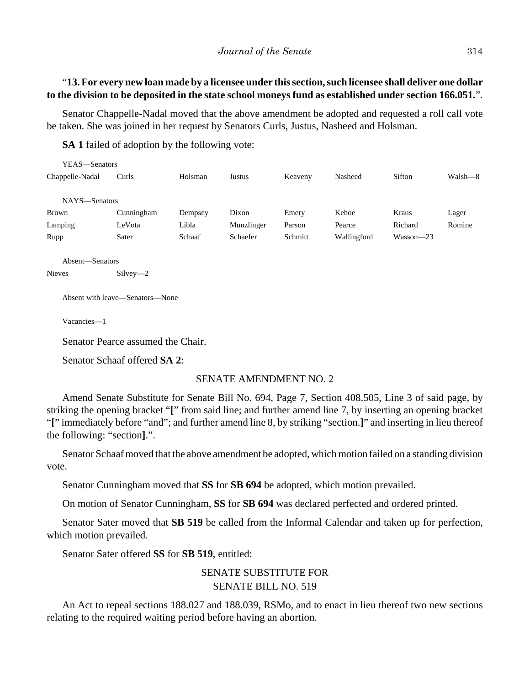# "**13. For every new loan made by a licensee under this section, such licensee shall deliver one dollar to the division to be deposited in the state school moneys fund as established under section 166.051.**".

Senator Chappelle-Nadal moved that the above amendment be adopted and requested a roll call vote be taken. She was joined in her request by Senators Curls, Justus, Nasheed and Holsman.

**SA 1** failed of adoption by the following vote:

| YEAS—Senators   |            |         |            |         |             |               |         |
|-----------------|------------|---------|------------|---------|-------------|---------------|---------|
| Chappelle-Nadal | Curls      | Holsman | Justus     | Keaveny | Nasheed     | Sifton        | Walsh—8 |
|                 |            |         |            |         |             |               |         |
| NAYS-Senators   |            |         |            |         |             |               |         |
| <b>Brown</b>    | Cunningham | Dempsey | Dixon      | Emery   | Kehoe       | Kraus         | Lager   |
| Lamping         | LeVota     | Libla   | Munzlinger | Parson  | Pearce      | Richard       | Romine  |
| Rupp            | Sater      | Schaaf  | Schaefer   | Schmitt | Wallingford | $Wasson - 23$ |         |

Absent—Senators Nieves Silvey—2

Absent with leave—Senators—None

Vacancies—1

Senator Pearce assumed the Chair.

Senator Schaaf offered **SA 2**:

#### SENATE AMENDMENT NO. 2

Amend Senate Substitute for Senate Bill No. 694, Page 7, Section 408.505, Line 3 of said page, by striking the opening bracket "**[**" from said line; and further amend line 7, by inserting an opening bracket "**[**" immediately before "and"; and further amend line 8, by striking "section.**]**" and inserting in lieu thereof the following: "section**]**.".

Senator Schaaf moved that the above amendment be adopted, which motion failed on a standing division vote.

Senator Cunningham moved that **SS** for **SB 694** be adopted, which motion prevailed.

On motion of Senator Cunningham, **SS** for **SB 694** was declared perfected and ordered printed.

Senator Sater moved that **SB 519** be called from the Informal Calendar and taken up for perfection, which motion prevailed.

Senator Sater offered **SS** for **SB 519**, entitled:

# SENATE SUBSTITUTE FOR SENATE BILL NO. 519

An Act to repeal sections 188.027 and 188.039, RSMo, and to enact in lieu thereof two new sections relating to the required waiting period before having an abortion.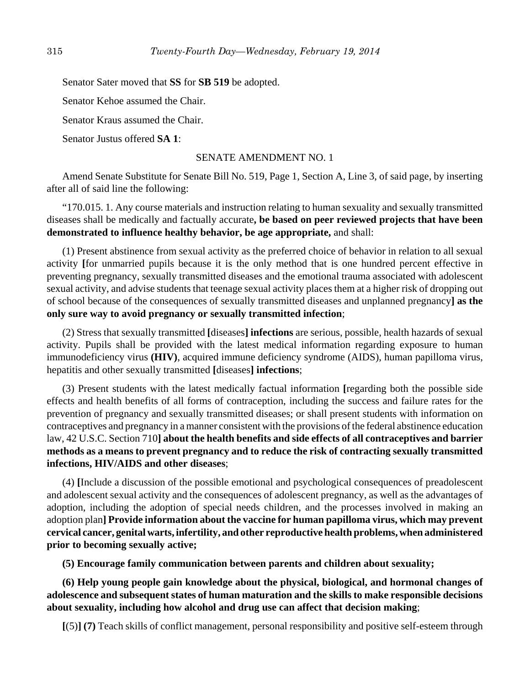Senator Sater moved that **SS** for **SB 519** be adopted.

Senator Kehoe assumed the Chair.

Senator Kraus assumed the Chair.

Senator Justus offered **SA 1**:

#### SENATE AMENDMENT NO. 1

Amend Senate Substitute for Senate Bill No. 519, Page 1, Section A, Line 3, of said page, by inserting after all of said line the following:

"170.015. 1. Any course materials and instruction relating to human sexuality and sexually transmitted diseases shall be medically and factually accurate**, be based on peer reviewed projects that have been demonstrated to influence healthy behavior, be age appropriate,** and shall:

(1) Present abstinence from sexual activity as the preferred choice of behavior in relation to all sexual activity **[**for unmarried pupils because it is the only method that is one hundred percent effective in preventing pregnancy, sexually transmitted diseases and the emotional trauma associated with adolescent sexual activity, and advise students that teenage sexual activity places them at a higher risk of dropping out of school because of the consequences of sexually transmitted diseases and unplanned pregnancy**] as the only sure way to avoid pregnancy or sexually transmitted infection**;

(2) Stress that sexually transmitted **[**diseases**] infections** are serious, possible, health hazards of sexual activity. Pupils shall be provided with the latest medical information regarding exposure to human immunodeficiency virus **(HIV)**, acquired immune deficiency syndrome (AIDS), human papilloma virus, hepatitis and other sexually transmitted **[**diseases**] infections**;

(3) Present students with the latest medically factual information **[**regarding both the possible side effects and health benefits of all forms of contraception, including the success and failure rates for the prevention of pregnancy and sexually transmitted diseases; or shall present students with information on contraceptives and pregnancy in a manner consistent with the provisions of the federal abstinence education law, 42 U.S.C. Section 710**] about the health benefits and side effects of all contraceptives and barrier methods as a means to prevent pregnancy and to reduce the risk of contracting sexually transmitted infections, HIV/AIDS and other diseases**;

(4) **[**Include a discussion of the possible emotional and psychological consequences of preadolescent and adolescent sexual activity and the consequences of adolescent pregnancy, as well as the advantages of adoption, including the adoption of special needs children, and the processes involved in making an adoption plan**] Provide information about the vaccine for human papilloma virus, which may prevent cervical cancer, genital warts, infertility, and other reproductive health problems, when administered prior to becoming sexually active;**

**(5) Encourage family communication between parents and children about sexuality;**

**(6) Help young people gain knowledge about the physical, biological, and hormonal changes of adolescence and subsequent states of human maturation and the skills to make responsible decisions about sexuality, including how alcohol and drug use can affect that decision making**;

**[**(5)**] (7)** Teach skills of conflict management, personal responsibility and positive self-esteem through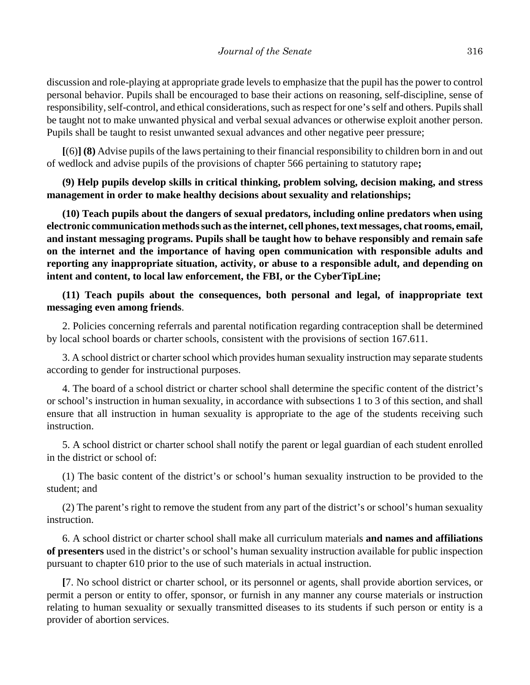discussion and role-playing at appropriate grade levels to emphasize that the pupil has the power to control personal behavior. Pupils shall be encouraged to base their actions on reasoning, self-discipline, sense of responsibility, self-control, and ethical considerations, such as respect for one's self and others. Pupils shall be taught not to make unwanted physical and verbal sexual advances or otherwise exploit another person. Pupils shall be taught to resist unwanted sexual advances and other negative peer pressure;

**[**(6)**] (8)** Advise pupils of the laws pertaining to their financial responsibility to children born in and out of wedlock and advise pupils of the provisions of chapter 566 pertaining to statutory rape**;**

# **(9) Help pupils develop skills in critical thinking, problem solving, decision making, and stress management in order to make healthy decisions about sexuality and relationships;**

**(10) Teach pupils about the dangers of sexual predators, including online predators when using electronic communication methods such as the internet, cell phones, text messages, chat rooms, email, and instant messaging programs. Pupils shall be taught how to behave responsibly and remain safe on the internet and the importance of having open communication with responsible adults and reporting any inappropriate situation, activity, or abuse to a responsible adult, and depending on intent and content, to local law enforcement, the FBI, or the CyberTipLine;**

**(11) Teach pupils about the consequences, both personal and legal, of inappropriate text messaging even among friends**.

2. Policies concerning referrals and parental notification regarding contraception shall be determined by local school boards or charter schools, consistent with the provisions of section 167.611.

3. A school district or charter school which provides human sexuality instruction may separate students according to gender for instructional purposes.

4. The board of a school district or charter school shall determine the specific content of the district's or school's instruction in human sexuality, in accordance with subsections 1 to 3 of this section, and shall ensure that all instruction in human sexuality is appropriate to the age of the students receiving such instruction.

5. A school district or charter school shall notify the parent or legal guardian of each student enrolled in the district or school of:

(1) The basic content of the district's or school's human sexuality instruction to be provided to the student; and

(2) The parent's right to remove the student from any part of the district's or school's human sexuality instruction.

6. A school district or charter school shall make all curriculum materials **and names and affiliations of presenters** used in the district's or school's human sexuality instruction available for public inspection pursuant to chapter 610 prior to the use of such materials in actual instruction.

**[**7. No school district or charter school, or its personnel or agents, shall provide abortion services, or permit a person or entity to offer, sponsor, or furnish in any manner any course materials or instruction relating to human sexuality or sexually transmitted diseases to its students if such person or entity is a provider of abortion services.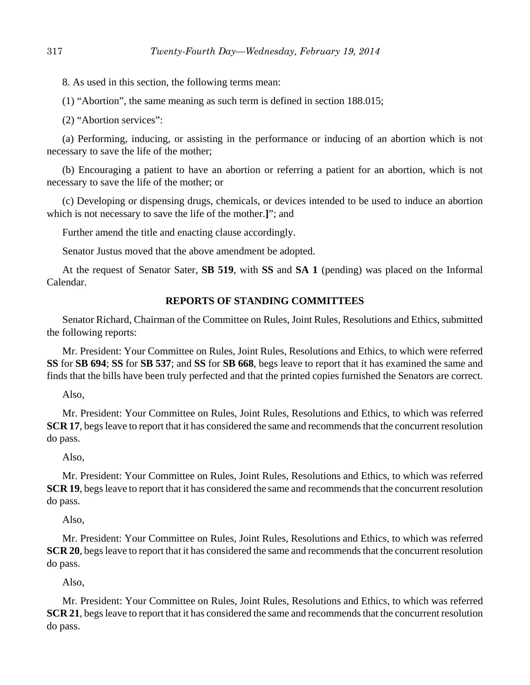8. As used in this section, the following terms mean:

(1) "Abortion", the same meaning as such term is defined in section 188.015;

(2) "Abortion services":

(a) Performing, inducing, or assisting in the performance or inducing of an abortion which is not necessary to save the life of the mother;

(b) Encouraging a patient to have an abortion or referring a patient for an abortion, which is not necessary to save the life of the mother; or

(c) Developing or dispensing drugs, chemicals, or devices intended to be used to induce an abortion which is not necessary to save the life of the mother.**]**"; and

Further amend the title and enacting clause accordingly.

Senator Justus moved that the above amendment be adopted.

At the request of Senator Sater, **SB 519**, with **SS** and **SA 1** (pending) was placed on the Informal Calendar.

# **REPORTS OF STANDING COMMITTEES**

Senator Richard, Chairman of the Committee on Rules, Joint Rules, Resolutions and Ethics, submitted the following reports:

Mr. President: Your Committee on Rules, Joint Rules, Resolutions and Ethics, to which were referred **SS** for **SB 694**; **SS** for **SB 537**; and **SS** for **SB 668**, begs leave to report that it has examined the same and finds that the bills have been truly perfected and that the printed copies furnished the Senators are correct.

Also,

Mr. President: Your Committee on Rules, Joint Rules, Resolutions and Ethics, to which was referred **SCR 17**, begs leave to report that it has considered the same and recommends that the concurrent resolution do pass.

Also,

Mr. President: Your Committee on Rules, Joint Rules, Resolutions and Ethics, to which was referred **SCR 19**, begs leave to report that it has considered the same and recommends that the concurrent resolution do pass.

Also,

Mr. President: Your Committee on Rules, Joint Rules, Resolutions and Ethics, to which was referred **SCR 20**, begs leave to report that it has considered the same and recommends that the concurrent resolution do pass.

Also,

Mr. President: Your Committee on Rules, Joint Rules, Resolutions and Ethics, to which was referred **SCR 21**, begs leave to report that it has considered the same and recommends that the concurrent resolution do pass.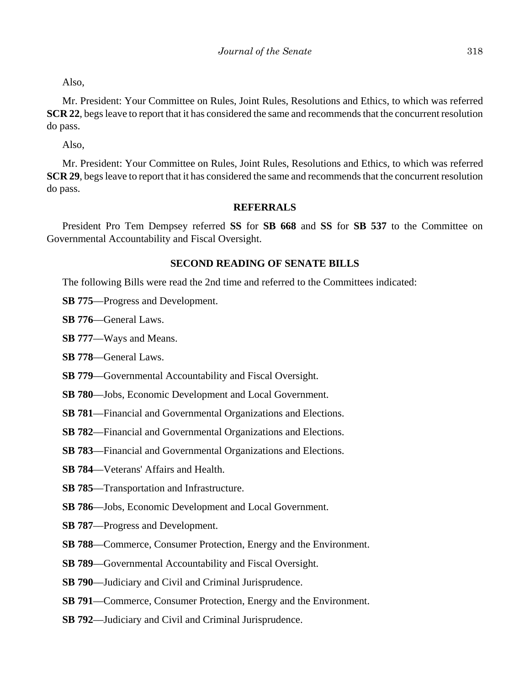Also,

Mr. President: Your Committee on Rules, Joint Rules, Resolutions and Ethics, to which was referred **SCR 22**, begs leave to report that it has considered the same and recommends that the concurrent resolution do pass.

Also,

Mr. President: Your Committee on Rules, Joint Rules, Resolutions and Ethics, to which was referred **SCR 29**, begs leave to report that it has considered the same and recommends that the concurrent resolution do pass.

# **REFERRALS**

President Pro Tem Dempsey referred **SS** for **SB 668** and **SS** for **SB 537** to the Committee on Governmental Accountability and Fiscal Oversight.

# **SECOND READING OF SENATE BILLS**

The following Bills were read the 2nd time and referred to the Committees indicated:

- **SB 775**––Progress and Development.
- **SB 776**––General Laws.

**SB 777**––Ways and Means.

- **SB 778**––General Laws.
- **SB 779**––Governmental Accountability and Fiscal Oversight.
- **SB 780**––Jobs, Economic Development and Local Government.
- **SB 781**––Financial and Governmental Organizations and Elections.
- **SB 782**––Financial and Governmental Organizations and Elections.
- **SB 783**––Financial and Governmental Organizations and Elections.
- **SB 784**––Veterans' Affairs and Health.
- **SB 785**––Transportation and Infrastructure.
- **SB 786**––Jobs, Economic Development and Local Government.
- **SB 787**––Progress and Development.
- **SB 788**––Commerce, Consumer Protection, Energy and the Environment.
- **SB 789—Governmental Accountability and Fiscal Oversight.**
- **SB 790**––Judiciary and Civil and Criminal Jurisprudence.
- **SB 791**—Commerce, Consumer Protection, Energy and the Environment.
- **SB 792**––Judiciary and Civil and Criminal Jurisprudence.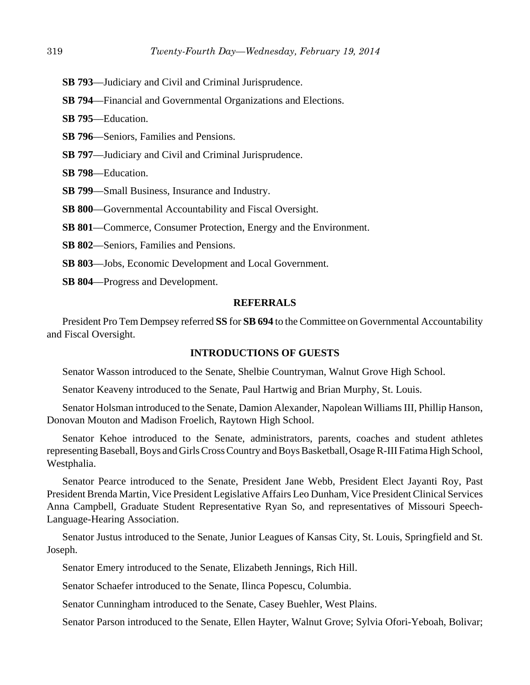- **SB 793**––Judiciary and Civil and Criminal Jurisprudence.
- **SB 794**––Financial and Governmental Organizations and Elections.
- **SB 795**––Education.
- **SB 796**––Seniors, Families and Pensions.
- **SB 797—Judiciary and Civil and Criminal Jurisprudence.**
- **SB 798**––Education.
- **SB 799**––Small Business, Insurance and Industry.
- **SB 800**––Governmental Accountability and Fiscal Oversight.
- **SB 801—Commerce, Consumer Protection, Energy and the Environment.**
- **SB 802**––Seniors, Families and Pensions.
- **SB 803**––Jobs, Economic Development and Local Government.
- **SB 804**––Progress and Development.

# **REFERRALS**

President Pro Tem Dempsey referred **SS** for **SB 694** to the Committee on Governmental Accountability and Fiscal Oversight.

# **INTRODUCTIONS OF GUESTS**

Senator Wasson introduced to the Senate, Shelbie Countryman, Walnut Grove High School.

Senator Keaveny introduced to the Senate, Paul Hartwig and Brian Murphy, St. Louis.

Senator Holsman introduced to the Senate, Damion Alexander, Napolean Williams III, Phillip Hanson, Donovan Mouton and Madison Froelich, Raytown High School.

Senator Kehoe introduced to the Senate, administrators, parents, coaches and student athletes representing Baseball, Boys and Girls Cross Country and Boys Basketball, Osage R-III Fatima High School, Westphalia.

Senator Pearce introduced to the Senate, President Jane Webb, President Elect Jayanti Roy, Past President Brenda Martin, Vice President Legislative Affairs Leo Dunham, Vice President Clinical Services Anna Campbell, Graduate Student Representative Ryan So, and representatives of Missouri Speech-Language-Hearing Association.

Senator Justus introduced to the Senate, Junior Leagues of Kansas City, St. Louis, Springfield and St. Joseph.

Senator Emery introduced to the Senate, Elizabeth Jennings, Rich Hill.

Senator Schaefer introduced to the Senate, Ilinca Popescu, Columbia.

Senator Cunningham introduced to the Senate, Casey Buehler, West Plains.

Senator Parson introduced to the Senate, Ellen Hayter, Walnut Grove; Sylvia Ofori-Yeboah, Bolivar;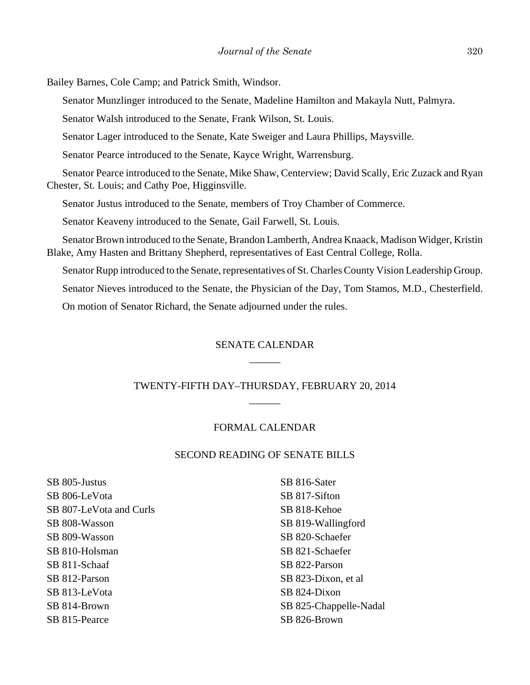Bailey Barnes, Cole Camp; and Patrick Smith, Windsor.

Senator Munzlinger introduced to the Senate, Madeline Hamilton and Makayla Nutt, Palmyra.

Senator Walsh introduced to the Senate, Frank Wilson, St. Louis.

Senator Lager introduced to the Senate, Kate Sweiger and Laura Phillips, Maysville.

Senator Pearce introduced to the Senate, Kayce Wright, Warrensburg.

Senator Pearce introduced to the Senate, Mike Shaw, Centerview; David Scally, Eric Zuzack and Ryan Chester, St. Louis; and Cathy Poe, Higginsville.

Senator Justus introduced to the Senate, members of Troy Chamber of Commerce.

Senator Keaveny introduced to the Senate, Gail Farwell, St. Louis.

Senator Brown introduced to the Senate, Brandon Lamberth, Andrea Knaack, Madison Widger, Kristin Blake, Amy Hasten and Brittany Shepherd, representatives of East Central College, Rolla.

Senator Rupp introduced to the Senate, representatives of St. Charles County Vision Leadership Group.

Senator Nieves introduced to the Senate, the Physician of the Day, Tom Stamos, M.D., Chesterfield.

On motion of Senator Richard, the Senate adjourned under the rules.

# SENATE CALENDAR \_\_\_\_\_\_

# TWENTY-FIFTH DAY–THURSDAY, FEBRUARY 20, 2014 \_\_\_\_\_\_

# FORMAL CALENDAR

## SECOND READING OF SENATE BILLS

SB 805-Justus SB 806-LeVota SB 807-LeVota and Curls SB 808-Wasson SB 809-Wasson SB 810-Holsman SB 811-Schaaf SB 812-Parson SB 813-LeVota SB 814-Brown SB 815-Pearce

SB 816-Sater SB 817-Sifton SB 818-Kehoe SB 819-Wallingford SB 820-Schaefer SB 821-Schaefer SB 822-Parson SB 823-Dixon, et al SB 824-Dixon SB 825-Chappelle-Nadal SB 826-Brown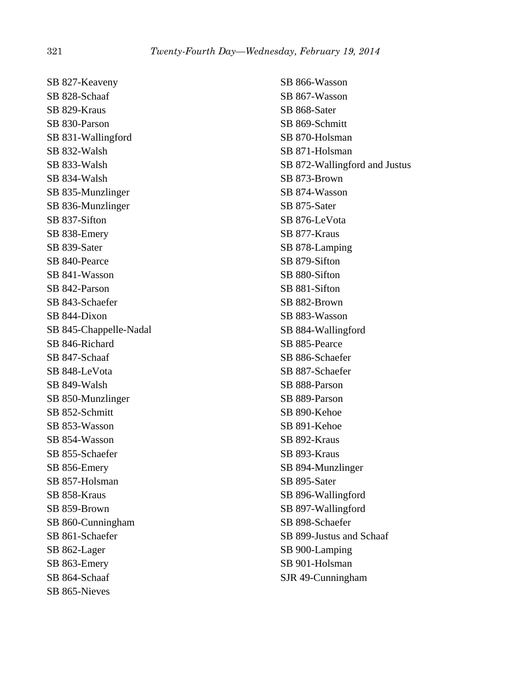SB 827-Keaveny SB 828-Schaaf SB 829-Kraus SB 830-Parson SB 831-Wallingford SB 832-Walsh SB 833-Walsh SB 834-Walsh SB 835-Munzlinger SB 836-Munzlinger SB 837-Sifton SB 838-Emery SB 839-Sater SB 840-Pearce SB 841-Wasson SB 842-Parson SB 843-Schaefer SB 844-Dixon SB 845-Chappelle-Nadal SB 846-Richard SB 847-Schaaf SB 848-LeVota SB 849-Walsh SB 850-Munzlinger SB 852-Schmitt SB 853-Wasson SB 854-Wasson SB 855-Schaefer SB 856-Emery SB 857-Holsman SB 858-Kraus SB 859-Brown SB 860-Cunningham SB 861-Schaefer SB 862-Lager SB 863-Emery SB 864-Schaaf SB 865-Nieves

SB 866-Wasson SB 867-Wasson SB 868-Sater SB 869-Schmitt SB 870-Holsman SB 871-Holsman SB 872-Wallingford and Justus SB 873-Brown SB 874-Wasson SB 875-Sater SB 876-LeVota SB 877-Kraus SB 878-Lamping SB 879-Sifton SB 880-Sifton SB 881-Sifton SB 882-Brown SB 883-Wasson SB 884-Wallingford SB 885-Pearce SB 886-Schaefer SB 887-Schaefer SB 888-Parson SB 889-Parson SB 890-Kehoe SB 891-Kehoe SB 892-Kraus SB 893-Kraus SB 894-Munzlinger SB 895-Sater SB 896-Wallingford SB 897-Wallingford SB 898-Schaefer SB 899-Justus and Schaaf SB 900-Lamping SB 901-Holsman SJR 49-Cunningham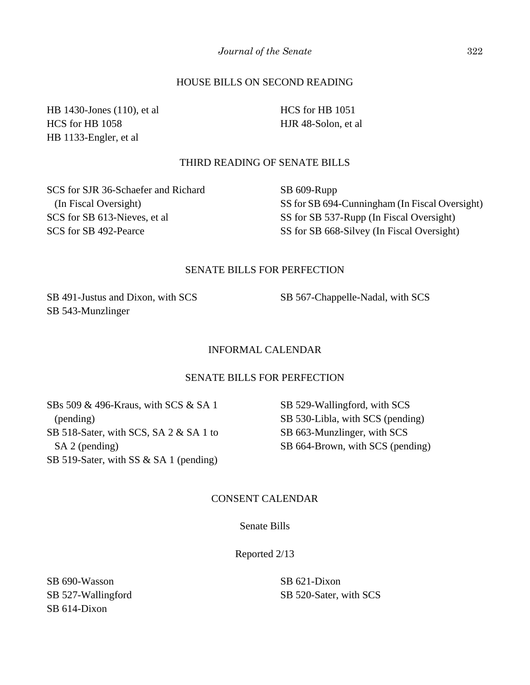# HOUSE BILLS ON SECOND READING

HB 1430-Jones (110), et al HCS for HB 1058 HB 1133-Engler, et al

HCS for HB 1051 HJR 48-Solon, et al

# THIRD READING OF SENATE BILLS

SCS for SJR 36-Schaefer and Richard (In Fiscal Oversight) SCS for SB 613-Nieves, et al SCS for SB 492-Pearce

SB 609-Rupp SS for SB 694-Cunningham (In Fiscal Oversight) SS for SB 537-Rupp (In Fiscal Oversight) SS for SB 668-Silvey (In Fiscal Oversight)

## SENATE BILLS FOR PERFECTION

SB 491-Justus and Dixon, with SCS SB 543-Munzlinger

SB 567-Chappelle-Nadal, with SCS

#### INFORMAL CALENDAR

## SENATE BILLS FOR PERFECTION

SBs 509 & 496-Kraus, with SCS & SA 1 (pending) SB 518-Sater, with SCS, SA 2 & SA 1 to SA 2 (pending) SB 519-Sater, with SS & SA 1 (pending)

SB 529-Wallingford, with SCS SB 530-Libla, with SCS (pending) SB 663-Munzlinger, with SCS SB 664-Brown, with SCS (pending)

# CONSENT CALENDAR

## Senate Bills

Reported 2/13

SB 690-Wasson SB 527-Wallingford SB 614-Dixon

SB 621-Dixon SB 520-Sater, with SCS